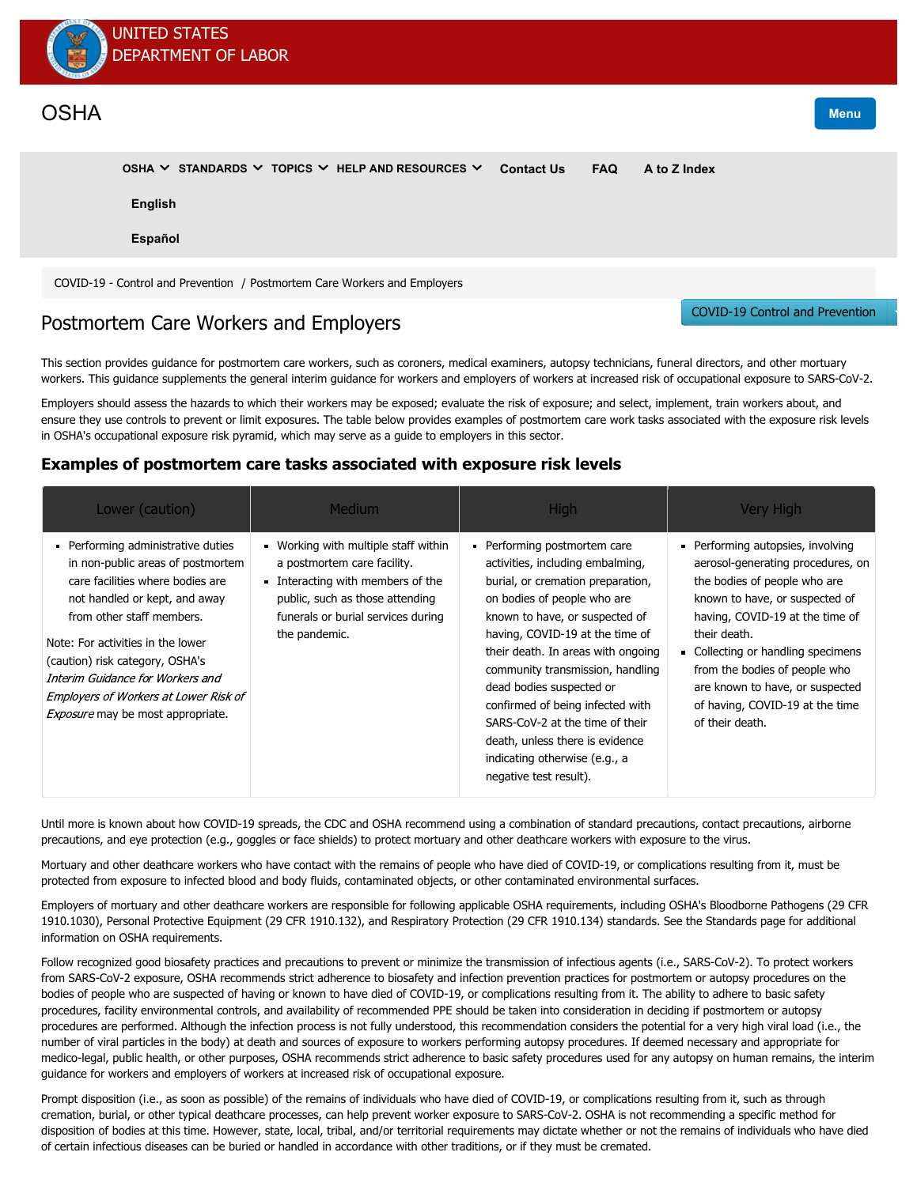

# **[OSHA](https://www.osha.gov/)** Menu

[COVID-19 - Control and Prevention](https://www.osha.gov/SLTC/covid-19/controlprevention.html) / Postmortem Care Workers and Employers **[OSHA](https://www.osha.gov/aboutosha) [STANDARDS](https://www.osha.gov/laws-regs) [TOPICS](https://www.osha.gov/SLTC/) [HELP AND RESOURCES](https://www.osha.gov/news) [Contact Us](https://www.osha.gov/contactus) [FAQ](https://www.osha.gov/faq) [A to Z Index](https://www.osha.gov/a-z) [English](javascript:doGTranslate() [Español](javascript:doGTranslate()**

# Postmortem Care Workers and Employers

This section provides guidance for postmortem care workers, such as coroners, medical examiners, autopsy technicians, funeral directors, and other mortuary workers. This guidance supplements the [general interim guidance](https://www.osha.gov/SLTC/covid-19/controlprevention.html#interim_increased_risk) for workers and employers of workers at increased risk of occupational exposure to SARS-CoV-2.

Employers should assess the hazards to which their workers may be exposed; evaluate the risk of exposure; and select, implement, train workers about, and ensure they use controls to prevent or limit exposures. The table below provides examples of postmortem care work tasks associated with the exposure risk levels in OSHA's occupational exposure risk pyramid, which may serve as a guide to employers in this sector.

## **Examples of postmortem care tasks associated with exposure risk levels**

| Lower (caution)                                                                                                                                                                                                                                                                                                                                                          | <b>Medium</b>                                                                                                                                                                                  | <b>High</b>                                                                                                                                                                                                                                                                                                                                                                                                                                                                        | Very High                                                                                                                                                                                                                                                                                                                                                 |
|--------------------------------------------------------------------------------------------------------------------------------------------------------------------------------------------------------------------------------------------------------------------------------------------------------------------------------------------------------------------------|------------------------------------------------------------------------------------------------------------------------------------------------------------------------------------------------|------------------------------------------------------------------------------------------------------------------------------------------------------------------------------------------------------------------------------------------------------------------------------------------------------------------------------------------------------------------------------------------------------------------------------------------------------------------------------------|-----------------------------------------------------------------------------------------------------------------------------------------------------------------------------------------------------------------------------------------------------------------------------------------------------------------------------------------------------------|
| Performing administrative duties<br>in non-public areas of postmortem<br>care facilities where bodies are<br>not handled or kept, and away<br>from other staff members.<br>Note: For activities in the lower<br>(caution) risk category, OSHA's<br>Interim Guidance for Workers and<br>Employers of Workers at Lower Risk of<br><i>Exposure</i> may be most appropriate. | Working with multiple staff within<br>a postmortem care facility.<br>Interacting with members of the<br>public, such as those attending<br>funerals or burial services during<br>the pandemic. | Performing postmortem care<br>activities, including embalming,<br>burial, or cremation preparation,<br>on bodies of people who are<br>known to have, or suspected of<br>having, COVID-19 at the time of<br>their death. In areas with ongoing<br>community transmission, handling<br>dead bodies suspected or<br>confirmed of being infected with<br>SARS-CoV-2 at the time of their<br>death, unless there is evidence<br>indicating otherwise (e.g., a<br>negative test result). | Performing autopsies, involving<br>aerosol-generating procedures, on<br>the bodies of people who are<br>known to have, or suspected of<br>having, COVID-19 at the time of<br>their death.<br>• Collecting or handling specimens<br>from the bodies of people who<br>are known to have, or suspected<br>of having, COVID-19 at the time<br>of their death. |

[Until more is known about how COVID-19 spreads, the](https://www.cdc.gov/infectioncontrol/basics/transmission-based-precautions.html#anchor_1564058235) [CDC](https://www.cdc.gov/coronavirus/2019-ncov/hcp/guidance-postmortem-specimens.html) [and OSHA recommend using a combination of](https://www.cdc.gov/infectioncontrol/basics/transmission-based-precautions.html#anchor_1564058235) [standard precaution](https://www.cdc.gov/infectioncontrol/basics/standard-precautions.html)[s,](https://www.cdc.gov/infectioncontrol/basics/transmission-based-precautions.html#anchor_1564058235) [contact precaution](https://www.cdc.gov/infectioncontrol/basics/transmission-based-precautions.html#anchor_1564057963)[s, airborne](https://www.cdc.gov/infectioncontrol/basics/transmission-based-precautions.html#anchor_1564058235) precautions, and eye protection (e.g., goggles or face shields) to protect mortuary and other deathcare workers with exposure to the virus.

Mortuary and other deathcare workers who have contact with the remains of people who have died of COVID-19, or complications resulting from it, must be protected from exposure to infected blood and body fluids, contaminated objects, or other contaminated environmental surfaces.

[Employers of mortuary and other deathcare workers are responsible for following applicable OSHA requirements, including OSHA's Bloodborne Pathogens \(29 CFR](https://www.osha.gov/laws-regs/regulations/standardnumber/1910/1910.1030) 1910.1030), Personal Protective Equipment ([29 CFR 1910.132](https://www.osha.gov/laws-regs/regulations/standardnumber/1910/1910.132)), and Respiratory Protection ([29 CFR 1910.134](https://www.osha.gov/laws-regs/regulations/standardnumber/1910/1910.134)) standards. See the [Standards](https://www.osha.gov/SLTC/covid-19/standards.html) page for additional information on OSHA requirements.

Follow recognized good biosafety practices and precautions to prevent or minimize the transmission of infectious agents (i.e., SARS-CoV-2). To protect workers from SARS-CoV-2 exposure, OSHA recommends strict adherence to biosafety and infection prevention practices for postmortem or autopsy procedures on the bodies of people who are suspected of having or known to have died of COVID-19, or complications resulting from it. The ability to adhere to basic safety procedures, facility environmental controls, and availability of recommended PPE should be taken into consideration in deciding if postmortem or autopsy procedures are performed. Although the infection process is not fully understood, this recommendation considers the potential for a very high viral load (i.e., the number of viral particles in the body) at death and sources of exposure to workers performing autopsy procedures. If deemed necessary and appropriate for [medico-legal, public health, or other purposes, OSHA recommends strict adherence to basic safety procedures used for any autopsy on human remains, the interim](https://www.osha.gov/SLTC/covid-19/controlprevention.html#interim_increased_risk) guidance for workers and employers of workers at increased risk of occupational exposure.

Prompt disposition (i.e., as soon as possible) of the remains of individuals who have died of COVID-19, or complications resulting from it, such as through cremation, burial, or other typical deathcare processes, can help prevent worker exposure to SARS-CoV-2. OSHA is not recommending a specific method for disposition of bodies at this time. However, state, local, tribal, and/or territorial requirements may dictate whether or not the remains of individuals who have died of certain infectious diseases can be buried or handled in accordance with other traditions, or if they must be cremated.

[COVID-19 Control and Prevention](https://www.osha.gov/SLTC/covid-19/controlprevention.html)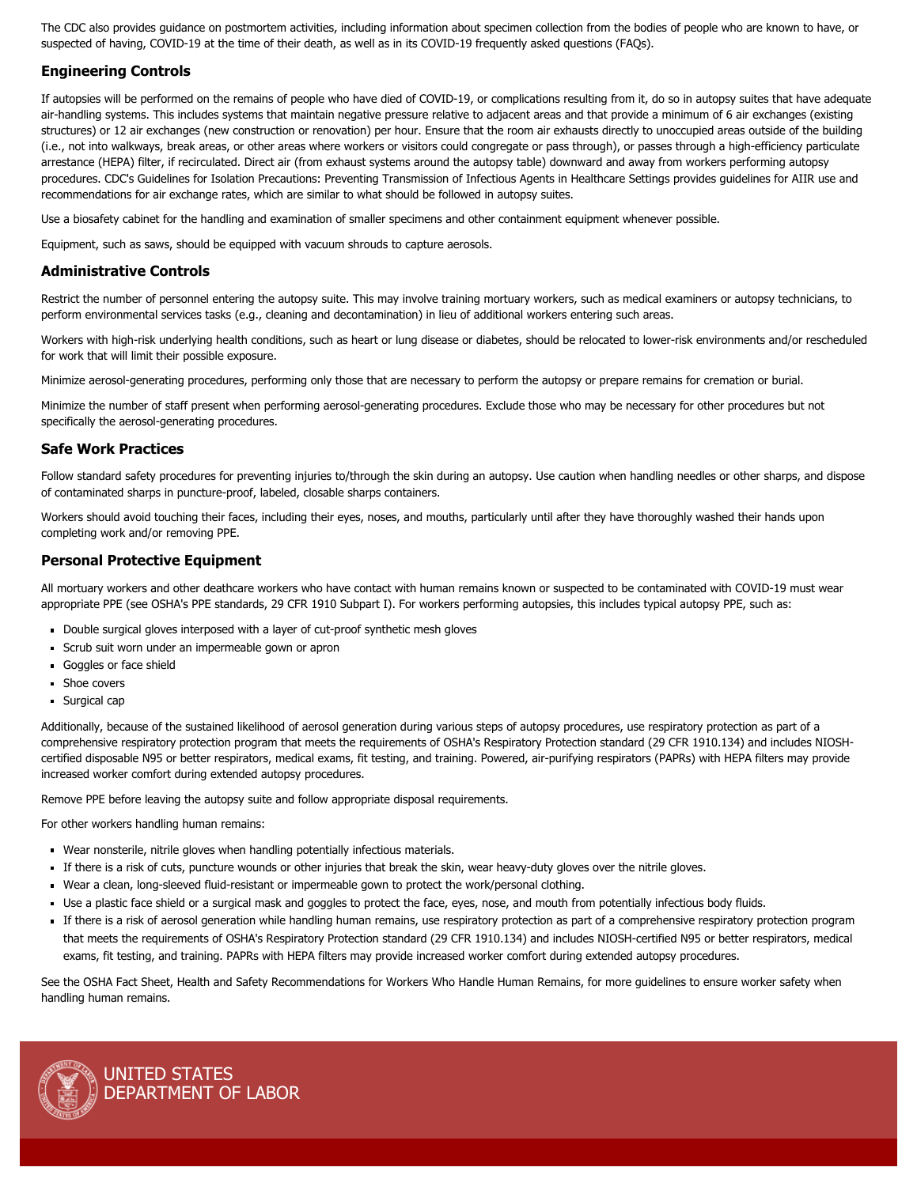The CDC also provides guidance on postmortem activities, including information about [specimen collection](https://www.cdc.gov/coronavirus/2019-ncov/hcp/guidance-postmortem-specimens.html) from the bodies of people who are known to have, or suspected of having, COVID-19 at the time of their death, as well as in its [COVID-19 frequently asked questions \(FAQs\).](https://www.cdc.gov/coronavirus/2019-ncov/faq.html#anchor_1584390222777)

### **Engineering Controls**

If autopsies will be performed on the remains of people who have died of COVID-19, or complications resulting from it, do so in autopsy suites that have adequate air-handling systems. This includes systems that maintain negative pressure relative to adjacent areas and that provide a minimum of 6 [air exchanges](https://www.cdc.gov/infectioncontrol/guidelines/environmental/background/air.html) (existing structures) or 12 air exchanges (new construction or renovation) per hour. Ensure that the room air exhausts directly to unoccupied areas outside of the building (i.e., not into walkways, break areas, or other areas where workers or visitors could congregate or pass through), or passes through a high-efficiency particulate arrestance (HEPA) filter, if recirculated. Direct air (from exhaust systems around the autopsy table) downward and away from workers performing autopsy procedures. CDC's [Guidelines for Isolation Precautions: Preventing Transmission of Infectious Agents in Healthcare Settings](https://www.cdc.gov/infectioncontrol/guidelines/isolation/) provides guidelines for AIIR use and recommendations for air exchange rates, which are similar to what should be followed in autopsy suites.

Use a biosafety cabinet for the handling and examination of smaller specimens and other containment equipment whenever possible.

Equipment, such as saws, should be equipped with vacuum shrouds to capture aerosols.

### **Administrative Controls**

Restrict the number of personnel entering the autopsy suite. This may involve training mortuary workers, such as medical examiners or autopsy technicians, to perform environmental services tasks (e.g., cleaning and decontamination) in lieu of additional workers entering such areas.

Workers with high-risk underlying health conditions, such as heart or lung disease or diabetes, should be relocated to lower-risk environments and/or rescheduled for work that will limit their possible exposure.

Minimize aerosol-generating procedures, performing only those that are necessary to perform the autopsy or prepare remains for cremation or burial.

Minimize the number of staff present when performing aerosol-generating procedures. Exclude those who may be necessary for other procedures but not specifically the aerosol-generating procedures.

### **Safe Work Practices**

Follow standard safety procedures for preventing injuries to/through the skin during an autopsy. Use caution when handling needles or other sharps, and dispose of contaminated sharps in puncture-proof, labeled, closable sharps containers.

Workers should avoid touching their faces, including their eyes, noses, and mouths, particularly until after they have thoroughly washed their hands upon completing work and/or removing PPE.

### **Personal Protective Equipment**

All mortuary workers and other deathcare workers who have contact with human remains known or suspected to be contaminated with COVID-19 must wear appropriate PPE (see OSHA's PPE standards, [29 CFR 1910 Subpart I](https://www.osha.gov/laws-regs/regulations/standardnumber/1910#1910_Subpart_I)). For workers performing autopsies, this includes typical autopsy PPE, such as:

- Double surgical gloves interposed with a layer of cut-proof synthetic mesh gloves
- Scrub suit worn under an impermeable gown or apron
- Goggles or face shield
- **Shoe covers**
- **Surgical cap**

Additionally, because of the sustained likelihood of aerosol generation during various steps of autopsy procedures, use respiratory protection as part of a comprehensive respiratory protection program that meets the requirements of OSHA's Respiratory Protection standard ([29 CFR 1910.134](https://www.osha.gov/laws-regs/regulations/standardnumber/1910/1910.134)) and includes NIOSHcertified disposable N95 or better respirators, medical exams, fit testing, and training. Powered, air-purifying respirators (PAPRs) with HEPA filters may provide increased worker comfort during extended autopsy procedures.

Remove PPE before leaving the autopsy suite and follow appropriate disposal requirements.

For other workers handling human remains:

- Wear nonsterile, nitrile gloves when handling potentially infectious materials.
- If there is a risk of cuts, puncture wounds or other injuries that break the skin, wear heavy-duty gloves over the nitrile gloves.
- Wear a clean, long-sleeved fluid-resistant or impermeable gown to protect the work/personal clothing.
- Use a plastic face shield or a surgical mask and goggles to protect the face, eyes, nose, and mouth from potentially infectious body fluids.
- If there is a risk of aerosol generation while handling human remains, use respiratory protection as part of a comprehensive respiratory protection program that meets the requirements of OSHA's Respiratory Protection standard ([29 CFR 1910.134](https://www.osha.gov/laws-regs/regulations/standardnumber/1910/1910.134)) and includes NIOSH-certified N95 or better respirators, medical exams, fit testing, and training. PAPRs with HEPA filters may provide increased worker comfort during extended autopsy procedures.

See the OSHA Fact Sheet, [Health and Safety Recommendations for Workers Who Handle Human Remains](https://www.osha.gov/OshDoc/data_Hurricane_Facts/mortuary.pdf), for more guidelines to ensure worker safety when handling human remains.